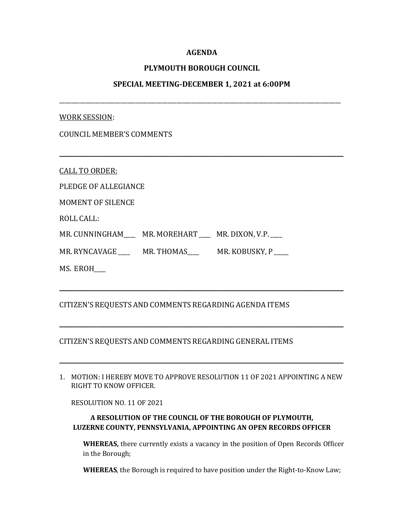## **AGENDA**

# **PLYMOUTH BOROUGH COUNCIL**

## **SPECIAL MEETING-DECEMBER 1, 2021 at 6:00PM**

\_\_\_\_\_\_\_\_\_\_\_\_\_\_\_\_\_\_\_\_\_\_\_\_\_\_\_\_\_\_\_\_\_\_\_\_\_\_\_\_\_\_\_\_\_\_\_\_\_\_\_\_\_\_\_\_\_\_\_\_\_\_\_\_\_\_\_\_\_\_\_\_\_\_\_\_\_\_\_\_\_\_\_\_\_\_\_\_\_\_\_\_\_\_\_\_

**\_\_\_\_\_\_\_\_\_\_\_\_\_\_\_\_\_\_\_\_\_\_\_\_\_\_\_\_\_\_\_\_\_\_\_\_\_\_\_\_\_\_\_\_\_\_\_\_\_\_\_\_\_\_\_\_\_\_\_\_\_\_\_\_\_\_\_\_\_\_\_\_\_\_\_\_\_\_\_\_\_\_\_**

#### WORK SESSION:

CALL TO ORDER:

PLEDGE OF ALLEGIANCE

MOMENT OF SILENCE

ROLL CALL:

MR. CUNNINGHAM\_\_\_\_ MR. MOREHART \_\_\_ MR. DIXON, V.P.

MR. RYNCAVAGE \_\_\_\_\_ MR. THOMAS \_\_\_\_\_ MR. KOBUSKY, P

MS. EROH\_\_\_\_

# CITIZEN'S REQUESTS AND COMMENTS REGARDING AGENDA ITEMS

## CITIZEN'S REQUESTS AND COMMENTS REGARDING GENERAL ITEMS

1. MOTION: I HEREBY MOVE TO APPROVE RESOLUTION 11 OF 2021 APPOINTING A NEW RIGHT TO KNOW OFFICER.

**\_\_\_\_\_\_\_\_\_\_\_\_\_\_\_\_\_\_\_\_\_\_\_\_\_\_\_\_\_\_\_\_\_\_\_\_\_\_\_\_\_\_\_\_\_\_\_\_\_\_\_\_\_\_\_\_\_\_\_\_\_\_\_\_\_\_\_\_\_\_\_\_\_\_\_\_\_\_\_\_\_\_\_**

**\_\_\_\_\_\_\_\_\_\_\_\_\_\_\_\_\_\_\_\_\_\_\_\_\_\_\_\_\_\_\_\_\_\_\_\_\_\_\_\_\_\_\_\_\_\_\_\_\_\_\_\_\_\_\_\_\_\_\_\_\_\_\_\_\_\_\_\_\_\_\_\_\_\_\_\_\_\_\_\_\_\_\_**

**\_\_\_\_\_\_\_\_\_\_\_\_\_\_\_\_\_\_\_\_\_\_\_\_\_\_\_\_\_\_\_\_\_\_\_\_\_\_\_\_\_\_\_\_\_\_\_\_\_\_\_\_\_\_\_\_\_\_\_\_\_\_\_\_\_\_\_\_\_\_\_\_\_\_\_\_\_\_\_\_\_\_\_**

RESOLUTION NO. 11 OF 2021

# **A RESOLUTION OF THE COUNCIL OF THE BOROUGH OF PLYMOUTH, LUZERNE COUNTY, PENNSYLVANIA, APPOINTING AN OPEN RECORDS OFFICER**

**WHEREAS,** there currently exists a vacancy in the position of Open Records Officer in the Borough;

**WHEREAS**, the Borough is required to have position under the Right-to-Know Law;